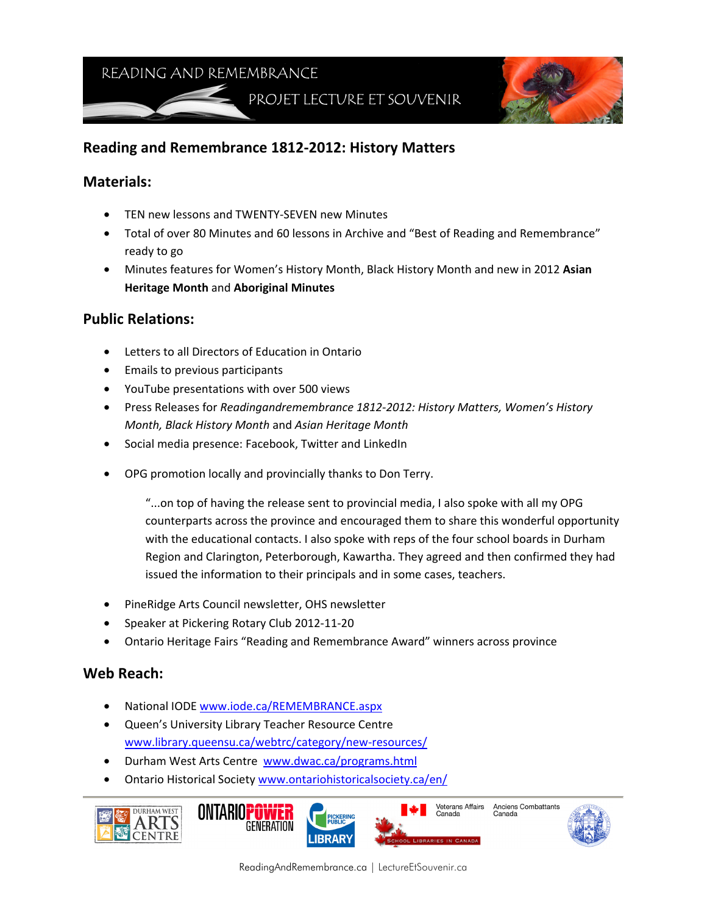READING AND REMEMBRANCE

PROJET LECTURE ET SOUVENIR



# **Reading and Remembrance 1812-2012: History Matters**

#### **Materials:**

- TEN new lessons and TWENTY-SEVEN new Minutes
- Total of over 80 Minutes and 60 lessons in Archive and "Best of Reading and Remembrance" ready to go
- Minutes features for Women's History Month, Black History Month and new in 2012 **Asian Heritage Month** and **Aboriginal Minutes**

### **Public Relations:**

- Letters to all Directors of Education in Ontario
- Emails to previous participants
- YouTube presentations with over 500 views
- Press Releases for *Readingandremembrance 1812-2012: History Matters, Women's History Month, Black History Month* and *Asian Heritage Month*
- Social media presence: Facebook, Twitter and LinkedIn
- OPG promotion locally and provincially thanks to Don Terry.

"...on top of having the release sent to provincial media, I also spoke with all my OPG counterparts across the province and encouraged them to share this wonderful opportunity with the educational contacts. I also spoke with reps of the four school boards in Durham Region and Clarington, Peterborough, Kawartha. They agreed and then confirmed they had issued the information to their principals and in some cases, teachers.

- PineRidge Arts Council newsletter, OHS newsletter
- Speaker at Pickering Rotary Club 2012-11-20
- Ontario Heritage Fairs "Reading and Remembrance Award" winners across province

#### **Web Reach:**

- National IODE www.iode.ca/REMEMBRANCE.aspx
- Queen's University Library Teacher Resource Centre www.library.queensu.ca/webtrc/category/new-resources/
- Durham West Arts Centre www.dwac.ca/programs.html
- Ontario Historical Society www.ontariohistoricalsociety.ca/en/







Anciens Combattants Canada